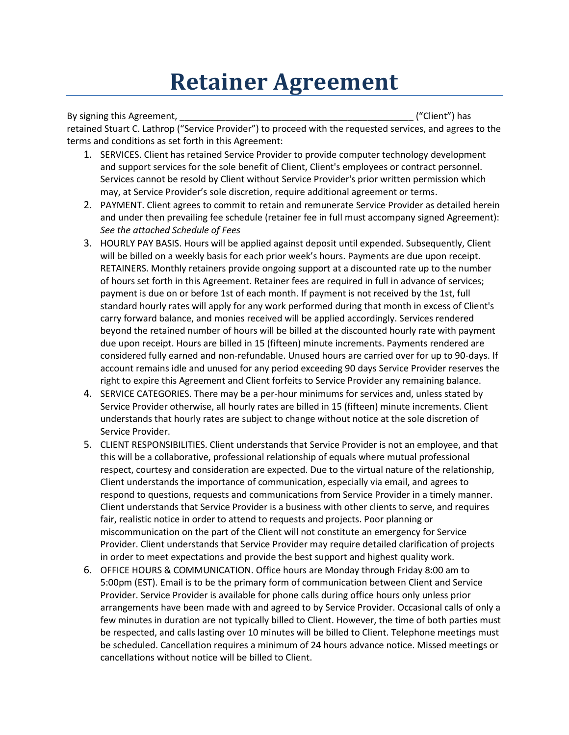## **Retainer Agreement**

By signing this Agreement, \_\_\_\_\_\_\_\_\_\_\_\_\_\_\_\_\_\_\_\_\_\_\_\_\_\_\_\_\_\_\_\_\_\_\_\_\_\_\_\_\_\_\_\_\_\_ ("Client") has retained Stuart C. Lathrop ("Service Provider") to proceed with the requested services, and agrees to the terms and conditions as set forth in this Agreement:

- 1. SERVICES. Client has retained Service Provider to provide computer technology development and support services for the sole benefit of Client, Client's employees or contract personnel. Services cannot be resold by Client without Service Provider's prior written permission which may, at Service Provider's sole discretion, require additional agreement or terms.
- 2. PAYMENT. Client agrees to commit to retain and remunerate Service Provider as detailed herein and under then prevailing fee schedule (retainer fee in full must accompany signed Agreement): *See the attached Schedule of Fees*
- 3. HOURLY PAY BASIS. Hours will be applied against deposit until expended. Subsequently, Client will be billed on a weekly basis for each prior week's hours. Payments are due upon receipt. RETAINERS. Monthly retainers provide ongoing support at a discounted rate up to the number of hours set forth in this Agreement. Retainer fees are required in full in advance of services; payment is due on or before 1st of each month. If payment is not received by the 1st, full standard hourly rates will apply for any work performed during that month in excess of Client's carry forward balance, and monies received will be applied accordingly. Services rendered beyond the retained number of hours will be billed at the discounted hourly rate with payment due upon receipt. Hours are billed in 15 (fifteen) minute increments. Payments rendered are considered fully earned and non-refundable. Unused hours are carried over for up to 90-days. If account remains idle and unused for any period exceeding 90 days Service Provider reserves the right to expire this Agreement and Client forfeits to Service Provider any remaining balance.
- 4. SERVICE CATEGORIES. There may be a per-hour minimums for services and, unless stated by Service Provider otherwise, all hourly rates are billed in 15 (fifteen) minute increments. Client understands that hourly rates are subject to change without notice at the sole discretion of Service Provider.
- 5. CLIENT RESPONSIBILITIES. Client understands that Service Provider is not an employee, and that this will be a collaborative, professional relationship of equals where mutual professional respect, courtesy and consideration are expected. Due to the virtual nature of the relationship, Client understands the importance of communication, especially via email, and agrees to respond to questions, requests and communications from Service Provider in a timely manner. Client understands that Service Provider is a business with other clients to serve, and requires fair, realistic notice in order to attend to requests and projects. Poor planning or miscommunication on the part of the Client will not constitute an emergency for Service Provider. Client understands that Service Provider may require detailed clarification of projects in order to meet expectations and provide the best support and highest quality work.
- 6. OFFICE HOURS & COMMUNICATION. Office hours are Monday through Friday 8:00 am to 5:00pm (EST). Email is to be the primary form of communication between Client and Service Provider. Service Provider is available for phone calls during office hours only unless prior arrangements have been made with and agreed to by Service Provider. Occasional calls of only a few minutes in duration are not typically billed to Client. However, the time of both parties must be respected, and calls lasting over 10 minutes will be billed to Client. Telephone meetings must be scheduled. Cancellation requires a minimum of 24 hours advance notice. Missed meetings or cancellations without notice will be billed to Client.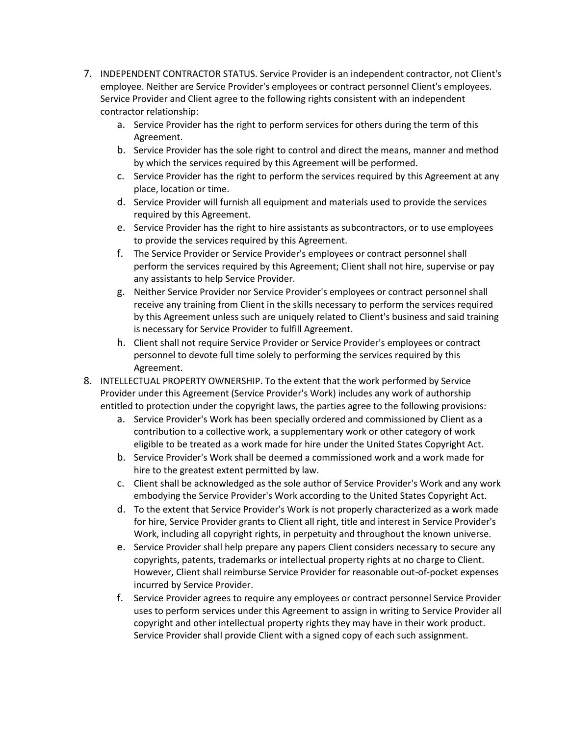- 7. INDEPENDENT CONTRACTOR STATUS. Service Provider is an independent contractor, not Client's employee. Neither are Service Provider's employees or contract personnel Client's employees. Service Provider and Client agree to the following rights consistent with an independent contractor relationship:
	- a. Service Provider has the right to perform services for others during the term of this Agreement.
	- b. Service Provider has the sole right to control and direct the means, manner and method by which the services required by this Agreement will be performed.
	- c. Service Provider has the right to perform the services required by this Agreement at any place, location or time.
	- d. Service Provider will furnish all equipment and materials used to provide the services required by this Agreement.
	- e. Service Provider has the right to hire assistants as subcontractors, or to use employees to provide the services required by this Agreement.
	- f. The Service Provider or Service Provider's employees or contract personnel shall perform the services required by this Agreement; Client shall not hire, supervise or pay any assistants to help Service Provider.
	- g. Neither Service Provider nor Service Provider's employees or contract personnel shall receive any training from Client in the skills necessary to perform the services required by this Agreement unless such are uniquely related to Client's business and said training is necessary for Service Provider to fulfill Agreement.
	- h. Client shall not require Service Provider or Service Provider's employees or contract personnel to devote full time solely to performing the services required by this Agreement.
- 8. INTELLECTUAL PROPERTY OWNERSHIP. To the extent that the work performed by Service Provider under this Agreement (Service Provider's Work) includes any work of authorship entitled to protection under the copyright laws, the parties agree to the following provisions:
	- a. Service Provider's Work has been specially ordered and commissioned by Client as a contribution to a collective work, a supplementary work or other category of work eligible to be treated as a work made for hire under the United States Copyright Act.
	- b. Service Provider's Work shall be deemed a commissioned work and a work made for hire to the greatest extent permitted by law.
	- c. Client shall be acknowledged as the sole author of Service Provider's Work and any work embodying the Service Provider's Work according to the United States Copyright Act.
	- d. To the extent that Service Provider's Work is not properly characterized as a work made for hire, Service Provider grants to Client all right, title and interest in Service Provider's Work, including all copyright rights, in perpetuity and throughout the known universe.
	- e. Service Provider shall help prepare any papers Client considers necessary to secure any copyrights, patents, trademarks or intellectual property rights at no charge to Client. However, Client shall reimburse Service Provider for reasonable out-of-pocket expenses incurred by Service Provider.
	- f. Service Provider agrees to require any employees or contract personnel Service Provider uses to perform services under this Agreement to assign in writing to Service Provider all copyright and other intellectual property rights they may have in their work product. Service Provider shall provide Client with a signed copy of each such assignment.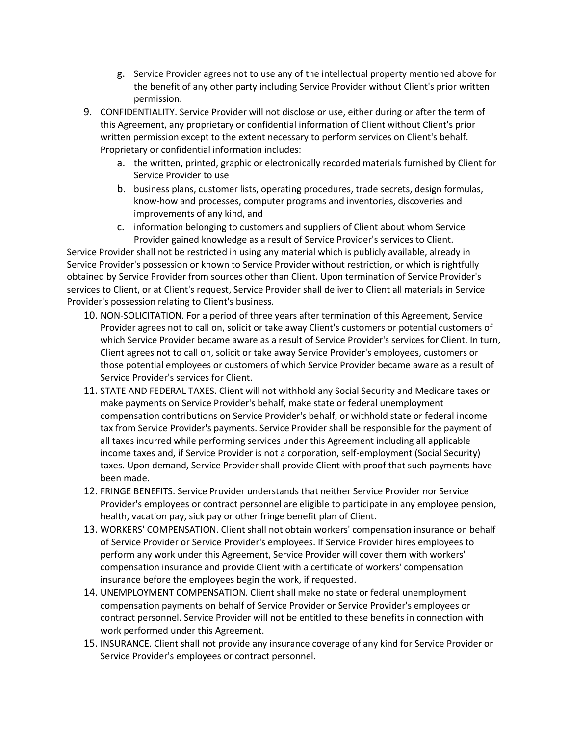- g. Service Provider agrees not to use any of the intellectual property mentioned above for the benefit of any other party including Service Provider without Client's prior written permission.
- 9. CONFIDENTIALITY. Service Provider will not disclose or use, either during or after the term of this Agreement, any proprietary or confidential information of Client without Client's prior written permission except to the extent necessary to perform services on Client's behalf. Proprietary or confidential information includes:
	- a. the written, printed, graphic or electronically recorded materials furnished by Client for Service Provider to use
	- b. business plans, customer lists, operating procedures, trade secrets, design formulas, know-how and processes, computer programs and inventories, discoveries and improvements of any kind, and
	- c. information belonging to customers and suppliers of Client about whom Service Provider gained knowledge as a result of Service Provider's services to Client.

Service Provider shall not be restricted in using any material which is publicly available, already in Service Provider's possession or known to Service Provider without restriction, or which is rightfully obtained by Service Provider from sources other than Client. Upon termination of Service Provider's services to Client, or at Client's request, Service Provider shall deliver to Client all materials in Service Provider's possession relating to Client's business.

- 10. NON-SOLICITATION. For a period of three years after termination of this Agreement, Service Provider agrees not to call on, solicit or take away Client's customers or potential customers of which Service Provider became aware as a result of Service Provider's services for Client. In turn, Client agrees not to call on, solicit or take away Service Provider's employees, customers or those potential employees or customers of which Service Provider became aware as a result of Service Provider's services for Client.
- 11. STATE AND FEDERAL TAXES. Client will not withhold any Social Security and Medicare taxes or make payments on Service Provider's behalf, make state or federal unemployment compensation contributions on Service Provider's behalf, or withhold state or federal income tax from Service Provider's payments. Service Provider shall be responsible for the payment of all taxes incurred while performing services under this Agreement including all applicable income taxes and, if Service Provider is not a corporation, self-employment (Social Security) taxes. Upon demand, Service Provider shall provide Client with proof that such payments have been made.
- 12. FRINGE BENEFITS. Service Provider understands that neither Service Provider nor Service Provider's employees or contract personnel are eligible to participate in any employee pension, health, vacation pay, sick pay or other fringe benefit plan of Client.
- 13. WORKERS' COMPENSATION. Client shall not obtain workers' compensation insurance on behalf of Service Provider or Service Provider's employees. If Service Provider hires employees to perform any work under this Agreement, Service Provider will cover them with workers' compensation insurance and provide Client with a certificate of workers' compensation insurance before the employees begin the work, if requested.
- 14. UNEMPLOYMENT COMPENSATION. Client shall make no state or federal unemployment compensation payments on behalf of Service Provider or Service Provider's employees or contract personnel. Service Provider will not be entitled to these benefits in connection with work performed under this Agreement.
- 15. INSURANCE. Client shall not provide any insurance coverage of any kind for Service Provider or Service Provider's employees or contract personnel.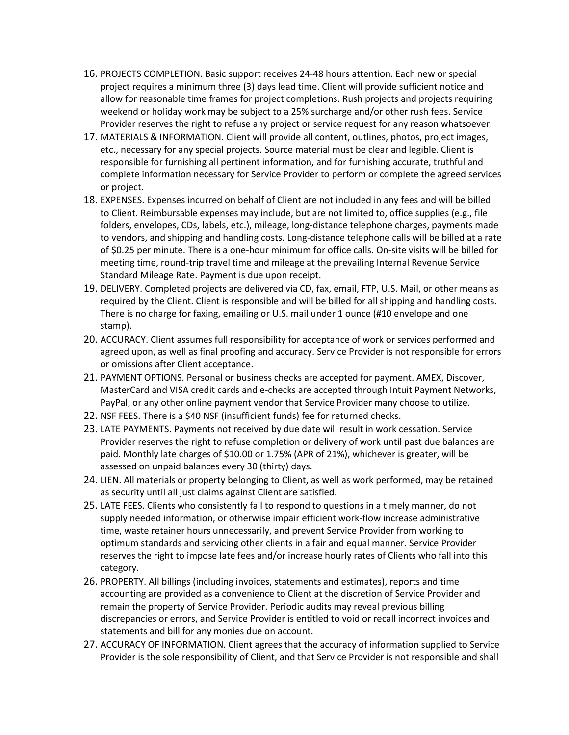- 16. PROJECTS COMPLETION. Basic support receives 24-48 hours attention. Each new or special project requires a minimum three (3) days lead time. Client will provide sufficient notice and allow for reasonable time frames for project completions. Rush projects and projects requiring weekend or holiday work may be subject to a 25% surcharge and/or other rush fees. Service Provider reserves the right to refuse any project or service request for any reason whatsoever.
- 17. MATERIALS & INFORMATION. Client will provide all content, outlines, photos, project images, etc., necessary for any special projects. Source material must be clear and legible. Client is responsible for furnishing all pertinent information, and for furnishing accurate, truthful and complete information necessary for Service Provider to perform or complete the agreed services or project.
- 18. EXPENSES. Expenses incurred on behalf of Client are not included in any fees and will be billed to Client. Reimbursable expenses may include, but are not limited to, office supplies (e.g., file folders, envelopes, CDs, labels, etc.), mileage, long-distance telephone charges, payments made to vendors, and shipping and handling costs. Long-distance telephone calls will be billed at a rate of \$0.25 per minute. There is a one-hour minimum for office calls. On-site visits will be billed for meeting time, round-trip travel time and mileage at the prevailing Internal Revenue Service Standard Mileage Rate. Payment is due upon receipt.
- 19. DELIVERY. Completed projects are delivered via CD, fax, email, FTP, U.S. Mail, or other means as required by the Client. Client is responsible and will be billed for all shipping and handling costs. There is no charge for faxing, emailing or U.S. mail under 1 ounce (#10 envelope and one stamp).
- 20. ACCURACY. Client assumes full responsibility for acceptance of work or services performed and agreed upon, as well as final proofing and accuracy. Service Provider is not responsible for errors or omissions after Client acceptance.
- 21. PAYMENT OPTIONS. Personal or business checks are accepted for payment. AMEX, Discover, MasterCard and VISA credit cards and e-checks are accepted through Intuit Payment Networks, PayPal, or any other online payment vendor that Service Provider many choose to utilize.
- 22. NSF FEES. There is a \$40 NSF (insufficient funds) fee for returned checks.
- 23. LATE PAYMENTS. Payments not received by due date will result in work cessation. Service Provider reserves the right to refuse completion or delivery of work until past due balances are paid. Monthly late charges of \$10.00 or 1.75% (APR of 21%), whichever is greater, will be assessed on unpaid balances every 30 (thirty) days.
- 24. LIEN. All materials or property belonging to Client, as well as work performed, may be retained as security until all just claims against Client are satisfied.
- 25. LATE FEES. Clients who consistently fail to respond to questions in a timely manner, do not supply needed information, or otherwise impair efficient work-flow increase administrative time, waste retainer hours unnecessarily, and prevent Service Provider from working to optimum standards and servicing other clients in a fair and equal manner. Service Provider reserves the right to impose late fees and/or increase hourly rates of Clients who fall into this category.
- 26. PROPERTY. All billings (including invoices, statements and estimates), reports and time accounting are provided as a convenience to Client at the discretion of Service Provider and remain the property of Service Provider. Periodic audits may reveal previous billing discrepancies or errors, and Service Provider is entitled to void or recall incorrect invoices and statements and bill for any monies due on account.
- 27. ACCURACY OF INFORMATION. Client agrees that the accuracy of information supplied to Service Provider is the sole responsibility of Client, and that Service Provider is not responsible and shall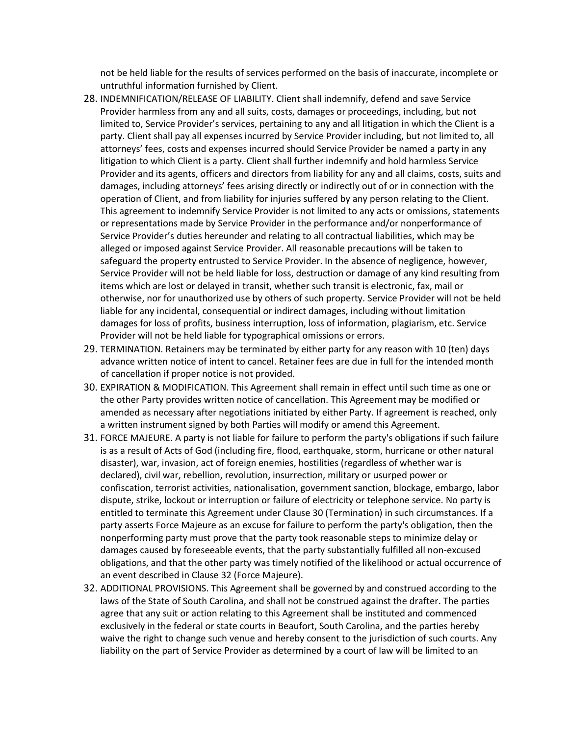not be held liable for the results of services performed on the basis of inaccurate, incomplete or untruthful information furnished by Client.

- 28. INDEMNIFICATION/RELEASE OF LIABILITY. Client shall indemnify, defend and save Service Provider harmless from any and all suits, costs, damages or proceedings, including, but not limited to, Service Provider's services, pertaining to any and all litigation in which the Client is a party. Client shall pay all expenses incurred by Service Provider including, but not limited to, all attorneys' fees, costs and expenses incurred should Service Provider be named a party in any litigation to which Client is a party. Client shall further indemnify and hold harmless Service Provider and its agents, officers and directors from liability for any and all claims, costs, suits and damages, including attorneys' fees arising directly or indirectly out of or in connection with the operation of Client, and from liability for injuries suffered by any person relating to the Client. This agreement to indemnify Service Provider is not limited to any acts or omissions, statements or representations made by Service Provider in the performance and/or nonperformance of Service Provider's duties hereunder and relating to all contractual liabilities, which may be alleged or imposed against Service Provider. All reasonable precautions will be taken to safeguard the property entrusted to Service Provider. In the absence of negligence, however, Service Provider will not be held liable for loss, destruction or damage of any kind resulting from items which are lost or delayed in transit, whether such transit is electronic, fax, mail or otherwise, nor for unauthorized use by others of such property. Service Provider will not be held liable for any incidental, consequential or indirect damages, including without limitation damages for loss of profits, business interruption, loss of information, plagiarism, etc. Service Provider will not be held liable for typographical omissions or errors.
- 29. TERMINATION. Retainers may be terminated by either party for any reason with 10 (ten) days advance written notice of intent to cancel. Retainer fees are due in full for the intended month of cancellation if proper notice is not provided.
- 30. EXPIRATION & MODIFICATION. This Agreement shall remain in effect until such time as one or the other Party provides written notice of cancellation. This Agreement may be modified or amended as necessary after negotiations initiated by either Party. If agreement is reached, only a written instrument signed by both Parties will modify or amend this Agreement.
- 31. FORCE MAJEURE. A party is not liable for failure to perform the party's obligations if such failure is as a result of Acts of God (including fire, flood, earthquake, storm, hurricane or other natural disaster), war, invasion, act of foreign enemies, hostilities (regardless of whether war is declared), civil war, rebellion, revolution, insurrection, military or usurped power or confiscation, terrorist activities, nationalisation, government sanction, blockage, embargo, labor dispute, strike, lockout or interruption or failure of electricity or telephone service. No party is entitled to terminate this Agreement under Clause 30 (Termination) in such circumstances. If a party asserts Force Majeure as an excuse for failure to perform the party's obligation, then the nonperforming party must prove that the party took reasonable steps to minimize delay or damages caused by foreseeable events, that the party substantially fulfilled all non-excused obligations, and that the other party was timely notified of the likelihood or actual occurrence of an event described in Clause 32 (Force Majeure).
- 32. ADDITIONAL PROVISIONS. This Agreement shall be governed by and construed according to the laws of the State of South Carolina, and shall not be construed against the drafter. The parties agree that any suit or action relating to this Agreement shall be instituted and commenced exclusively in the federal or state courts in Beaufort, South Carolina, and the parties hereby waive the right to change such venue and hereby consent to the jurisdiction of such courts. Any liability on the part of Service Provider as determined by a court of law will be limited to an